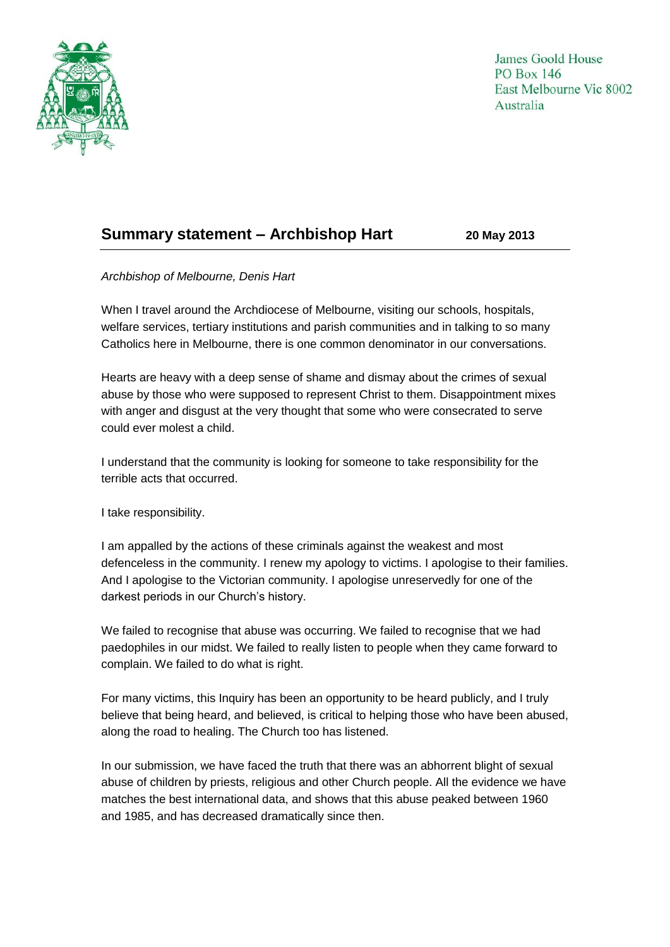

James Goold House **PO Box 146** East Melbourne Vic 8002 Australia

## **Summary statement – Archbishop Hart 20 May 2013**

## *Archbishop of Melbourne, Denis Hart*

When I travel around the Archdiocese of Melbourne, visiting our schools, hospitals, welfare services, tertiary institutions and parish communities and in talking to so many Catholics here in Melbourne, there is one common denominator in our conversations.

Hearts are heavy with a deep sense of shame and dismay about the crimes of sexual abuse by those who were supposed to represent Christ to them. Disappointment mixes with anger and disgust at the very thought that some who were consecrated to serve could ever molest a child.

I understand that the community is looking for someone to take responsibility for the terrible acts that occurred.

I take responsibility.

I am appalled by the actions of these criminals against the weakest and most defenceless in the community. I renew my apology to victims. I apologise to their families. And I apologise to the Victorian community. I apologise unreservedly for one of the darkest periods in our Church's history.

We failed to recognise that abuse was occurring. We failed to recognise that we had paedophiles in our midst. We failed to really listen to people when they came forward to complain. We failed to do what is right.

For many victims, this Inquiry has been an opportunity to be heard publicly, and I truly believe that being heard, and believed, is critical to helping those who have been abused, along the road to healing. The Church too has listened.

In our submission, we have faced the truth that there was an abhorrent blight of sexual abuse of children by priests, religious and other Church people. All the evidence we have matches the best international data, and shows that this abuse peaked between 1960 and 1985, and has decreased dramatically since then.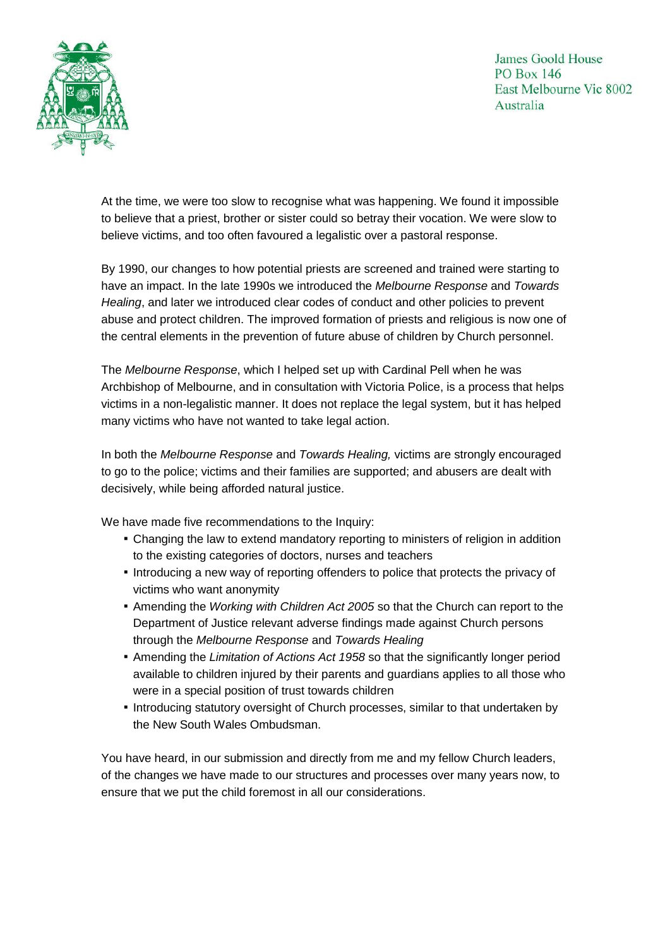James Goold House **PO Box 146** East Melbourne Vic 8002 Australia



At the time, we were too slow to recognise what was happening. We found it impossible to believe that a priest, brother or sister could so betray their vocation. We were slow to believe victims, and too often favoured a legalistic over a pastoral response.

By 1990, our changes to how potential priests are screened and trained were starting to have an impact. In the late 1990s we introduced the *Melbourne Response* and *Towards Healing*, and later we introduced clear codes of conduct and other policies to prevent abuse and protect children. The improved formation of priests and religious is now one of the central elements in the prevention of future abuse of children by Church personnel.

The *Melbourne Response*, which I helped set up with Cardinal Pell when he was Archbishop of Melbourne, and in consultation with Victoria Police, is a process that helps victims in a non-legalistic manner. It does not replace the legal system, but it has helped many victims who have not wanted to take legal action.

In both the *Melbourne Response* and *Towards Healing,* victims are strongly encouraged to go to the police; victims and their families are supported; and abusers are dealt with decisively, while being afforded natural justice.

We have made five recommendations to the Inquiry:

- Changing the law to extend mandatory reporting to ministers of religion in addition to the existing categories of doctors, nurses and teachers
- Introducing a new way of reporting offenders to police that protects the privacy of victims who want anonymity
- Amending the *Working with Children Act 2005* so that the Church can report to the Department of Justice relevant adverse findings made against Church persons through the *Melbourne Response* and *Towards Healing*
- **EXET** Amending the *Limitation of Actions Act 1958* so that the significantly longer period available to children injured by their parents and guardians applies to all those who were in a special position of trust towards children
- Introducing statutory oversight of Church processes, similar to that undertaken by the New South Wales Ombudsman.

You have heard, in our submission and directly from me and my fellow Church leaders, of the changes we have made to our structures and processes over many years now, to ensure that we put the child foremost in all our considerations.